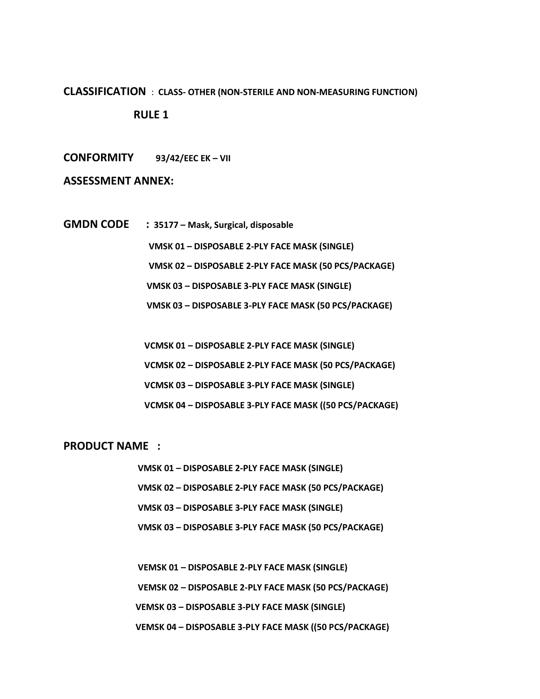## **CLASSIFICATION** : **CLASS- OTHER (NON-STERILE AND NON-MEASURING FUNCTION) RULE 1**

**CONFORMITY 93/42/EEC EK – VII**

**ASSESSMENT ANNEX:**

**GMDN CODE : 35177 – Mask, Surgical, disposable**

 **VMSK 01 – DISPOSABLE 2-PLY FACE MASK (SINGLE)**

 **VMSK 02 – DISPOSABLE 2-PLY FACE MASK (50 PCS/PACKAGE)**

 **VMSK 03 – DISPOSABLE 3-PLY FACE MASK (SINGLE)**

 **VMSK 03 – DISPOSABLE 3-PLY FACE MASK (50 PCS/PACKAGE)**

 **VCMSK 01 – DISPOSABLE 2-PLY FACE MASK (SINGLE)**

 **VCMSK 02 – DISPOSABLE 2-PLY FACE MASK (50 PCS/PACKAGE)**

 **VCMSK 03 – DISPOSABLE 3-PLY FACE MASK (SINGLE)**

 **VCMSK 04 – DISPOSABLE 3-PLY FACE MASK ((50 PCS/PACKAGE)**

**PRODUCT NAME :** 

 **VMSK 01 – DISPOSABLE 2-PLY FACE MASK (SINGLE) VMSK 02 – DISPOSABLE 2-PLY FACE MASK (50 PCS/PACKAGE) VMSK 03 – DISPOSABLE 3-PLY FACE MASK (SINGLE) VMSK 03 – DISPOSABLE 3-PLY FACE MASK (50 PCS/PACKAGE)**

 **VEMSK 01 – DISPOSABLE 2-PLY FACE MASK (SINGLE) VEMSK 02 – DISPOSABLE 2-PLY FACE MASK (50 PCS/PACKAGE) VEMSK 03 – DISPOSABLE 3-PLY FACE MASK (SINGLE) VEMSK 04 – DISPOSABLE 3-PLY FACE MASK ((50 PCS/PACKAGE)**